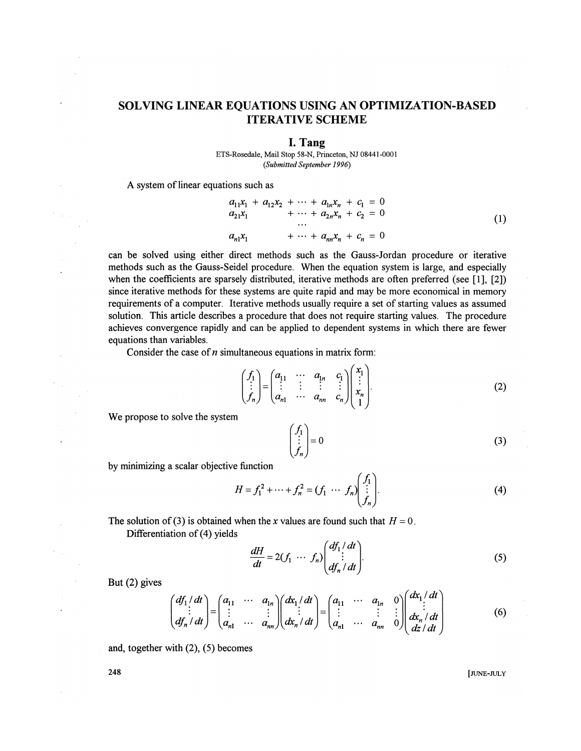## SOLVING LINEAR EQUATIONS USING AN OPTIMIZATION-BASED ITERATIVE SCHEME

## I. Tang

ETS-Rosedale, Mail Stop 58-N, Princeton, NJ 08441-0001 *(Submitted September 1996)* 

A system of linear equations such as

$$
a_{11}x_1 + a_{12}x_2 + \cdots + a_{1n}x_n + c_1 = 0
$$
  
\n
$$
a_{21}x_1 + \cdots + a_{2n}x_n + c_2 = 0
$$
  
\n...  
\n
$$
a_{n1}x_1 + \cdots + a_{nn}x_n + c_n = 0
$$
\n(1)

can be solved using either direct methods such as the Gauss-Jordan procedure or iterative methods such as the Gauss-Seidel procedure. When the equation system is large, and especially when the coefficients are sparsely distributed, iterative methods are often preferred (see [1], [2]) since iterative methods for these systems are quite rapid and may be more economical in memory requirements of a computer. Iterative methods usually require a set of starting values as assumed solution. This article describes a procedure that does not require starting values. The procedure achieves convergence rapidly and can be applied to dependent systems in which there are fewer equations than variables.

Consider the case of *n* simultaneous equations in matrix form:

$$
\begin{pmatrix} f_1 \\ \vdots \\ f_n \end{pmatrix} = \begin{pmatrix} a_{11} & \cdots & a_{1n} & c_1 \\ \vdots & \vdots & \vdots & \vdots \\ a_{n1} & \cdots & a_{nn} & c_n \end{pmatrix} \begin{pmatrix} x_1 \\ \vdots \\ x_n \\ 1 \end{pmatrix} .
$$
 (2)

We propose to solve the system

$$
\begin{pmatrix} f_1 \\ \vdots \\ f_n \end{pmatrix} = 0
$$
\n(3)

by minimizing a scalar objective function

$$
H = f_1^2 + \dots + f_n^2 = (f_1 \ \dots \ f_n) \begin{pmatrix} f_1 \\ \vdots \\ f_n \end{pmatrix} . \tag{4}
$$

 $\sim$ 

The solution of (3) is obtained when the *x* values are found such that  $H = 0$ . Differentiation of (4) yields

$$
\frac{dH}{dt} = 2(f_1 \cdots f_n) \begin{pmatrix} df_1/dt \\ \vdots \\ df_n/dt \end{pmatrix} .
$$
 (5)

But (2) gives

$$
\begin{pmatrix} df_1/dt \\ \vdots \\ df_n/dt \end{pmatrix} = \begin{pmatrix} a_{11} & \cdots & a_{1n} \\ \vdots & & \vdots \\ a_{n1} & \cdots & a_{nn} \end{pmatrix} \begin{pmatrix} dx_1/dt \\ \vdots \\ dx_n/dt \end{pmatrix} = \begin{pmatrix} a_{11} & \cdots & a_{1n} & 0 \\ \vdots & & \vdots & \vdots \\ a_{n1} & \cdots & a_{nn} & 0 \end{pmatrix} \begin{pmatrix} dx_1/dt \\ \vdots \\ dx_n/dt \\ dz/dt \end{pmatrix}
$$
 (6)

and, together with (2), (5) becomes

248 [JUNE-JULY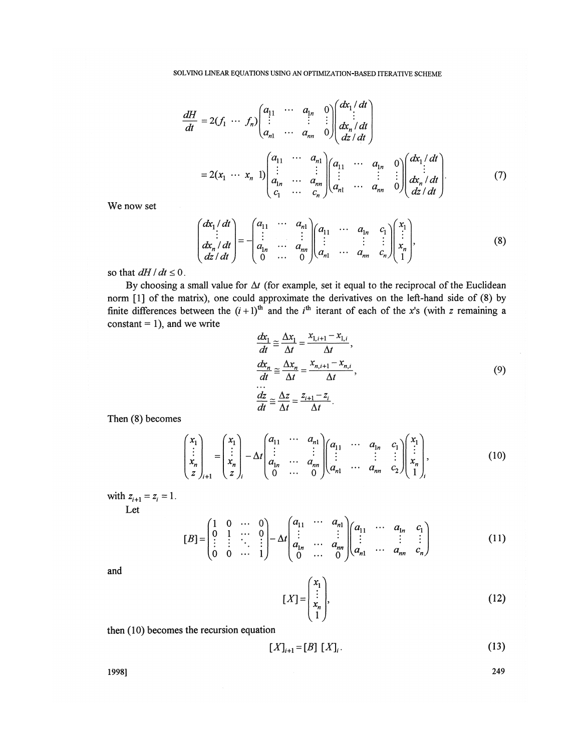$$
\frac{dH}{dt} = 2(f_1 \cdots f_n) \begin{pmatrix} a_{11} & \cdots & a_{1n} & 0 \\ \vdots & & \vdots & \vdots \\ a_{n1} & \cdots & a_{nn} & 0 \end{pmatrix} \begin{pmatrix} dx_1/dt \\ dx_n/dt \\ dz/dt \end{pmatrix}
$$
  
= 2(x<sub>1</sub> \cdots x<sub>n</sub> 1)
$$
\begin{pmatrix} a_{11} & \cdots & a_{n1} \\ \vdots & & \vdots \\ a_{1n} & \cdots & a_{nn} \\ c_1 & \cdots & c_n \end{pmatrix} \begin{pmatrix} a_{11} & \cdots & a_{1n} & 0 \\ \vdots & & \vdots & \vdots \\ a_{n1} & \cdots & a_{nn} & 0 \end{pmatrix} \begin{pmatrix} dx_1/dt \\ dx_n/dt \\ dz/dt \end{pmatrix} . \tag{7}
$$

We now set

$$
\begin{pmatrix} dx_1/dt \\ \vdots \\ dx_n/dt \\ dz/dt \end{pmatrix} = - \begin{pmatrix} a_{11} & \cdots & a_{n1} \\ \vdots & & \vdots \\ a_{1n} & \cdots & a_{nn} \\ 0 & \cdots & 0 \end{pmatrix} \begin{pmatrix} a_{11} & \cdots & a_{1n} & c_1 \\ \vdots & & \vdots & \vdots \\ a_{n1} & \cdots & a_{nn} & c_n \end{pmatrix} \begin{pmatrix} x_1 \\ \vdots \\ x_n \\ 1 \end{pmatrix},
$$
 (8)

so that  $dH/dt \leq 0$ .

By choosing a small value for  $\Delta t$  (for example, set it equal to the reciprocal of the Euclidean norm [1] of the matrix), one could approximate the derivatives on the left-hand side of (8) by finite differences between the  $(i+1)$ <sup>th</sup> and the i<sup>th</sup> iterant of each of the x's (with *z* remaining a constant  $= 1$ ), and we write

$$
\frac{dx_1}{dt} \approx \frac{\Delta x_1}{\Delta t} = \frac{x_{1,i+1} - x_{1,i}}{\Delta t},
$$
\n
$$
\frac{dx_n}{dt} \approx \frac{\Delta x_n}{\Delta t} = \frac{x_{n,i+1} - x_{n,i}}{\Delta t},
$$
\n
$$
\frac{dz}{dt} \approx \frac{\Delta z}{\Delta t} = \frac{z_{i+1} - z_i}{\Delta t}.
$$
\n(9)

Then (8) becomes

$$
\begin{pmatrix} x_1 \\ \vdots \\ x_n \\ z \end{pmatrix}_{i+1} = \begin{pmatrix} x_1 \\ \vdots \\ x_n \\ z \end{pmatrix}_{i} - \Delta t \begin{pmatrix} a_{11} & \cdots & a_{n1} \\ \vdots & & \vdots \\ a_{1n} & \cdots & a_{nn} \\ 0 & \cdots & 0 \end{pmatrix} \begin{pmatrix} a_{11} & \cdots & a_{1n} & c_1 \\ \vdots & & \vdots & \vdots \\ a_{n1} & \cdots & a_{nn} & c_2 \end{pmatrix} \begin{pmatrix} x_1 \\ \vdots \\ x_n \\ 1 \end{pmatrix},
$$
\n(10)

with  $z_{i+1} = z_i = 1$ . Let

$$
[B] = \begin{pmatrix} 1 & 0 & \cdots & 0 \\ 0 & 1 & \cdots & 0 \\ \vdots & \vdots & \ddots & \vdots \\ 0 & 0 & \cdots & 1 \end{pmatrix} - \Delta t \begin{pmatrix} a_{11} & \cdots & a_{n1} \\ \vdots & & \vdots \\ a_{1n} & \cdots & a_{nn} \\ 0 & \cdots & 0 \end{pmatrix} \begin{pmatrix} a_{11} & \cdots & a_{1n} & c_1 \\ \vdots & & \vdots & \vdots \\ a_{n1} & \cdots & a_{nn} & c_n \end{pmatrix}
$$
(11)

**and** 

$$
[X] = \begin{pmatrix} x_1 \\ \vdots \\ x_n \\ 1 \end{pmatrix}, \tag{12}
$$

then (10) becomes the recursion equation

$$
[X]_{i+1} = [B] [X]_i. \tag{13}
$$

**1998] 249**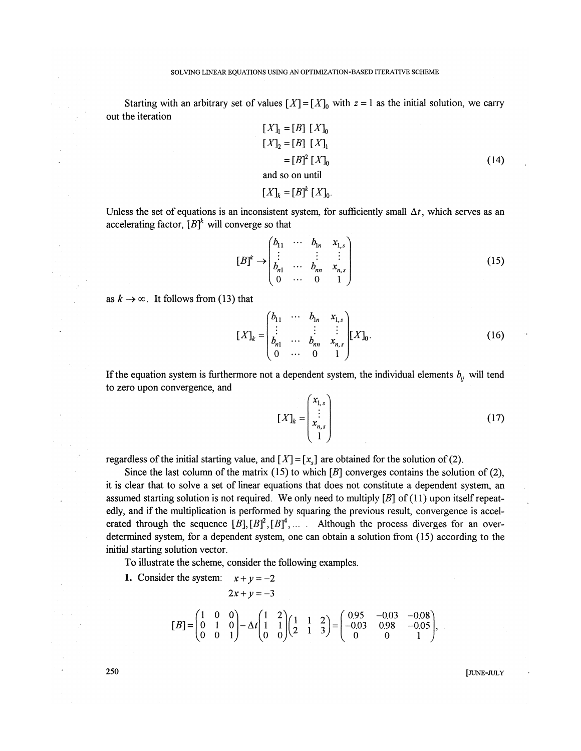Starting with an arbitrary set of values  $[X] = [X]_0$  with  $z = 1$  as the initial solution, we carry out the iteration

$$
[X]_1 = [B] [X]_0
$$
  
\n
$$
[X]_2 = [B] [X]_1
$$
  
\n
$$
= [B]^2 [X]_0
$$
  
\nand so on until  
\n
$$
[X]_k = [B]^k [X]_0.
$$
  
\n(14)

Unless the set of equations is an inconsistent system, for sufficiently small  $\Delta t$ , which serves as an accelerating factor,  $[B]^{k}$  will converge so that

$$
[B]^k \to \begin{pmatrix} b_{11} & \cdots & b_{1n} & x_{1,s} \\ \vdots & & \vdots & \vdots \\ b_{n1} & \cdots & b_{nn} & x_{n,s} \\ 0 & \cdots & 0 & 1 \end{pmatrix}
$$
 (15)

as  $k \to \infty$ . It follows from (13) that

$$
[X]_k = \begin{pmatrix} b_{11} & \cdots & b_{1n} & x_{1,s} \\ \vdots & & \vdots & \vdots \\ b_{n1} & \cdots & b_{nn} & x_{n,s} \\ 0 & \cdots & 0 & 1 \end{pmatrix} [X]_0.
$$
 (16)

If the equation system is furthermore not a dependent system, the individual elements  $b_{ij}$  will tend to zero upon convergence, and

$$
[X]_k = \begin{pmatrix} x_{1,s} \\ \vdots \\ x_{n,s} \\ 1 \end{pmatrix}
$$
 (17)

regardless of the initial starting value, and  $[X] = [x<sub>s</sub>]$  are obtained for the solution of (2).

Since the last column of the matrix (15) to which  $[B]$  converges contains the solution of (2), it is clear that to solve a set of linear equations that does not constitute a dependent system, an assumed starting solution is not required. We only need to multiply *[B]* of (11) upon itself repeatedly, and if the multiplication is performed by squaring the previous result, convergence is accelerated through the sequence  $[B], [B]^2, [B]^4, \ldots$  *...* Although the process diverges for an overdetermined system, for a dependent system, one can obtain a solution from (15) according to the initial starting solution vector.

To illustrate the scheme, consider the following examples.

1. Consider the system:  $x + y = -2$  $2x + y = -3$ 

$$
[B] = \begin{pmatrix} 1 & 0 & 0 \\ 0 & 1 & 0 \\ 0 & 0 & 1 \end{pmatrix} - \Delta t \begin{pmatrix} 1 & 2 \\ 1 & 1 \\ 0 & 0 \end{pmatrix} \begin{pmatrix} 1 & 1 & 2 \\ 2 & 1 & 3 \end{pmatrix} = \begin{pmatrix} 0.95 & -0.03 & -0.08 \\ -0.03 & 0.98 & -0.05 \\ 0 & 0 & 1 \end{pmatrix},
$$

**250** [JUNE-JULY